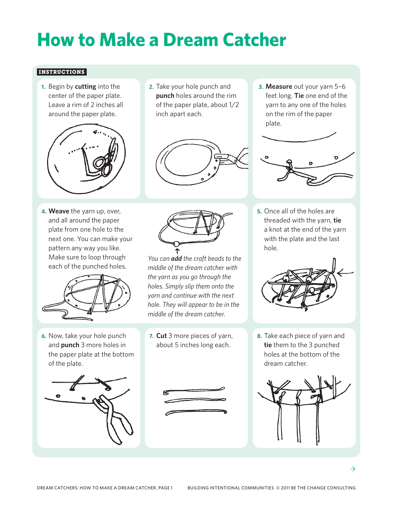## **How to Make a Dream Catcher**

## **Instructions**

**1.**  Begin by **cutting** into the center of the paper plate. Leave a rim of 2 inches all around the paper plate.



**4. Weave** the yarn up, over, and all around the paper plate from one hole to the next one. You can make your pattern any way you like. Make sure to loop through each of the punched holes.



**6.** Now, take your hole punch and **punch** 3 more holes in the paper plate at the bottom of the plate.



**2.** Take your hole punch and **punch** holes around the rim of the paper plate, about 1/2 inch apart each.



**3. Measure** out your yarn 5–6 feet long. **Tie** one end of the yarn to any one of the holes on the rim of the paper plate.



hole.

*You can add the craft beads to the middle of the dream catcher with the yarn as you go through the holes. Simply slip them onto the yarn and continue with the next hole. They will appear to be in the middle of the dream catcher.* 

**7. Cut** 3 more pieces of yarn, about 5 inches long each.

**5.** Once all of the holes are threaded with the yarn, **tie** a knot at the end of the yarn with the plate and the last



**8.** Take each piece of yarn and **tie** them to the 3 punched holes at the bottom of the dream catcher.